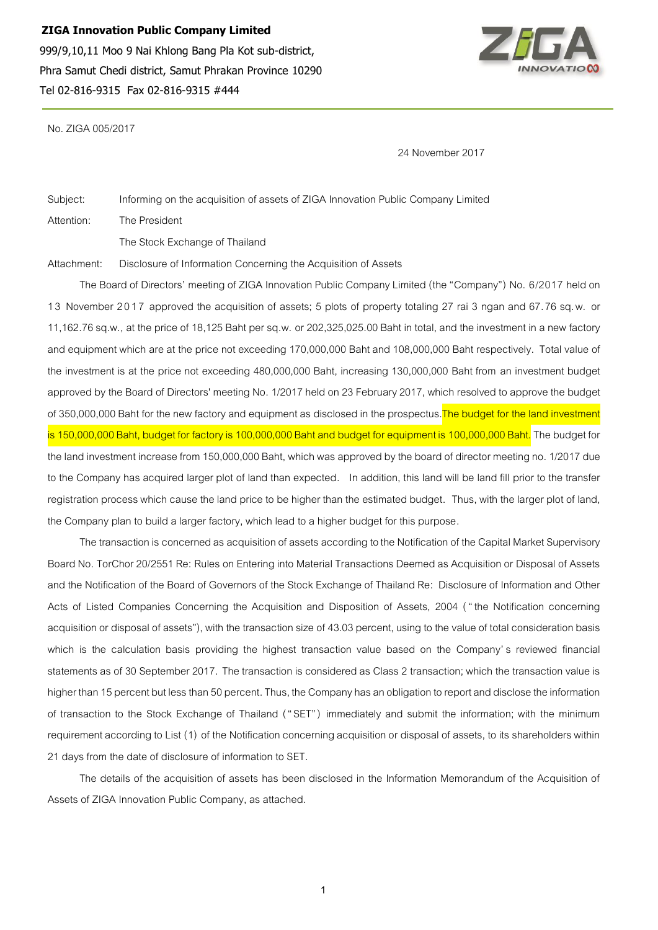**ZIGA Innovation Public Company Limited** 999/9,10,11 Moo 9 Nai Khlong Bang Pla Kot sub-district, Phra Samut Chedi district, Samut Phrakan Province 10290 Tel 02-816-9315 Fax 02-816-9315 #444



No. ZIGA 005/2017

24 November 2017

Subject: Informing onthe acquisition of assets of ZIGA Innovation Public Company Limited Attention: The President

The Stock Exchange of Thailand

Attachment: Disclosure of Information Concerning the Acquisition of Assets

The Board of Directors' meeting of ZIGA Innovation Public Company Limited (the "Company") No. 6/2017 held on 13 November 2017 approved the acquisition of assets; 5 plots of property totaling 27 rai 3 ngan and 67.76 sq.w. or 11,162.76 sq.w., at the price of 18,125 Baht per sq.w. or 202,325,025.00 Baht in total, and the investment in a new factory and equipment which are at the price not exceeding 170,000,000 Baht and 108,000,000 Baht respectively. Total value of the investment is at the price not exceeding 480,000,000 Baht, increasing 130,000,000 Baht from an investment budget approved by the Board of Directors' meeting No. 1/2017 held on 23 February 2017, which resolved to approve the budget of 350,000,000 Baht for the new factory and equipment as disclosed in the prospectus. The budget for the land investment is 150,000,000 Baht, budget for factory is 100,000,000 Baht and budget for equipment is 100,000,000 Baht. The budget for the land investment increase from 150,000,000 Baht, which was approved by the board of director meeting no. 1/2017 due to the Company has acquired larger plot of land than expected. In addition, this land will be land fill prior to the transfer registration process which cause the land price to be higher than the estimated budget. Thus, with the larger plot of land, the Company plan to build a larger factory, which lead to a higher budget for this purpose.

The transaction is concerned as acquisition of assets according tothe Notification of the Capital Market Supervisory Board No. TorChor 20/2551 Re: Rules on Entering into Material Transactions Deemed as Acquisition or Disposal of Assets and the Notification of the Board of Governors of the Stock Exchange of Thailand Re: Disclosure of Information and Other Acts of Listed Companies Concerning the Acquisition and Disposition of Assets, 2004 ( " the Notification concerning acquisition or disposal of assets"), with the transaction size of 43.03 percent, using to the value of total consideration basis which is the calculation basis providing the highest transaction value based on the Company's reviewed financial statements as of 30 September 2017. The transaction is considered as Class 2 transaction; which the transaction value is higher than 15 percent but less than 50 percent. Thus, the Company has an obligation to report and disclose the information of transaction to the Stock Exchange of Thailand ( " SET" ) immediately and submit the information; with the minimum requirement according to List (1) of the Notification concerning acquisition or disposal of assets, to its shareholders within 21 days from the date of disclosure of information to SET.

The details of the acquisition of assets has been disclosed in the Information Memorandum of the Acquisition of Assets of ZIGA Innovation Public Company, as attached.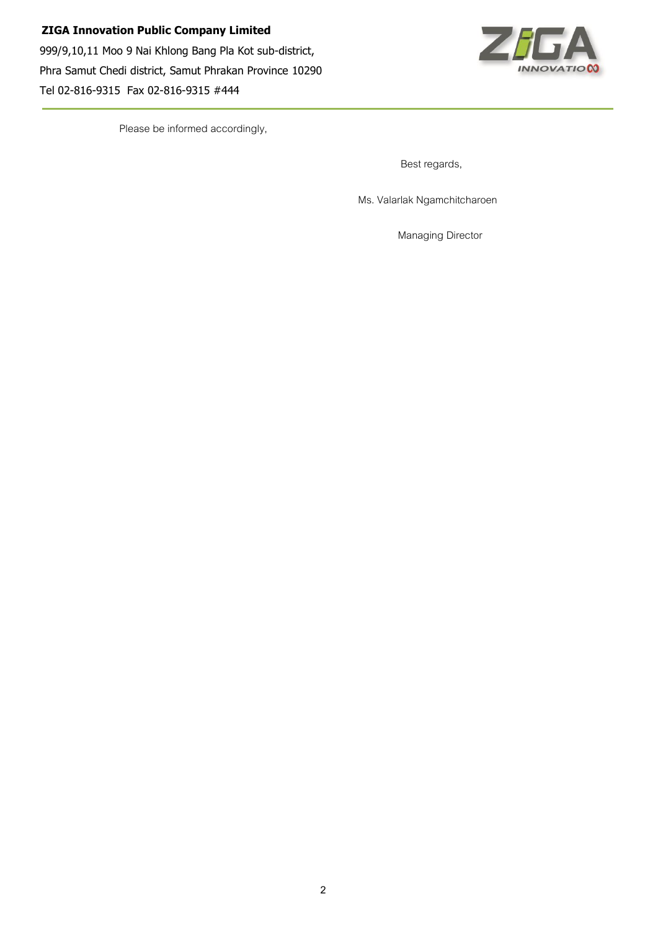

Please be informed accordingly,

Best regards,

Ms. Valarlak Ngamchitcharoen

Managing Director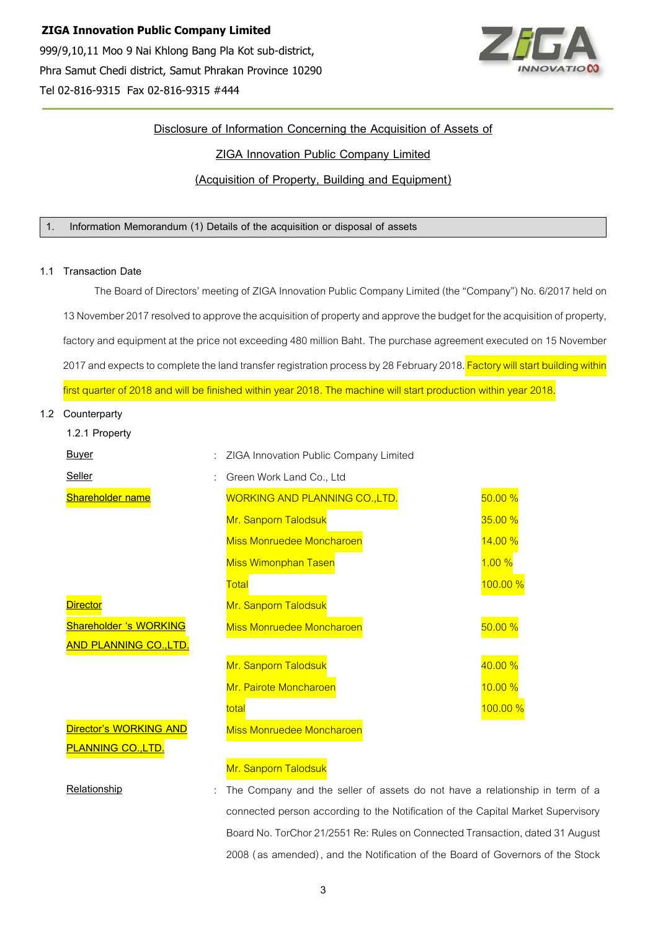

## **Disclosure of Information Concerning the Acquisition of Assets of ZIGA Innovation Public Company Limited (Acquisition of Property, Building and Equipment)**

## **1. Information Memorandum (1) Details of the acquisition or disposal of assets**

## **1.1 Transaction Date**

The Board of Directors' meeting of ZIGA Innovation Public Company Limited (the "Company") No. 6/2017 held on 13 November 2017 resolved to approve the acquisition of property and approve the budget for the acquisition of property, factory and equipment at the price not exceeding 480 million Baht. The purchase agreement executed on 15 November 2017 and expects to complete the land transfer registration process by 28 February 2018. Factory will start building within first quarter of 2018 and will be finished within year 2018. The machine will start production within year 2018.

## **1.2 Counterparty**

| 1.2.1 Property                |                                             |          |
|-------------------------------|---------------------------------------------|----------|
| <b>Buyer</b>                  | ZIGA Innovation Public Company Limited<br>÷ |          |
| Seller                        | Green Work Land Co., Ltd                    |          |
| <b>Shareholder name</b>       | <b>WORKING AND PLANNING CO., LTD.</b>       | 50.00%   |
|                               | Mr. Sanporn Talodsuk                        | 35.00%   |
|                               | <b>Miss Monruedee Moncharoen</b>            | 14.00 %  |
|                               | <b>Miss Wimonphan Tasen</b>                 | 1.00%    |
|                               | Total                                       | 100.00 % |
| <b>Director</b>               | Mr. Sanporn Talodsuk                        |          |
| <b>Shareholder 's WORKING</b> | <b>Miss Monruedee Moncharoen</b>            | 50.00%   |
| <b>AND PLANNING CO.,LTD.</b>  |                                             |          |
|                               | Mr. Sanporn Talodsuk                        | 40.00 %  |
|                               | Mr. Pairote Moncharoen                      | 10.00%   |
|                               | total                                       | 100.00%  |
| Director's WORKING AND        | <b>Miss Monruedee Moncharoen</b>            |          |
| <b>PLANNING CO., LTD.</b>     |                                             |          |
|                               | Mr. Sanporn Talodsuk                        |          |

**Relationship** : The Company and the seller of assets do not have a relationship in term of a connected person according to the Notification of the Capital Market Supervisory Board No. TorChor 21/2551 Re: Rules on Connected Transaction, dated 31 August

2008 (as amended), and the Notification of the Board of Governors of the Stock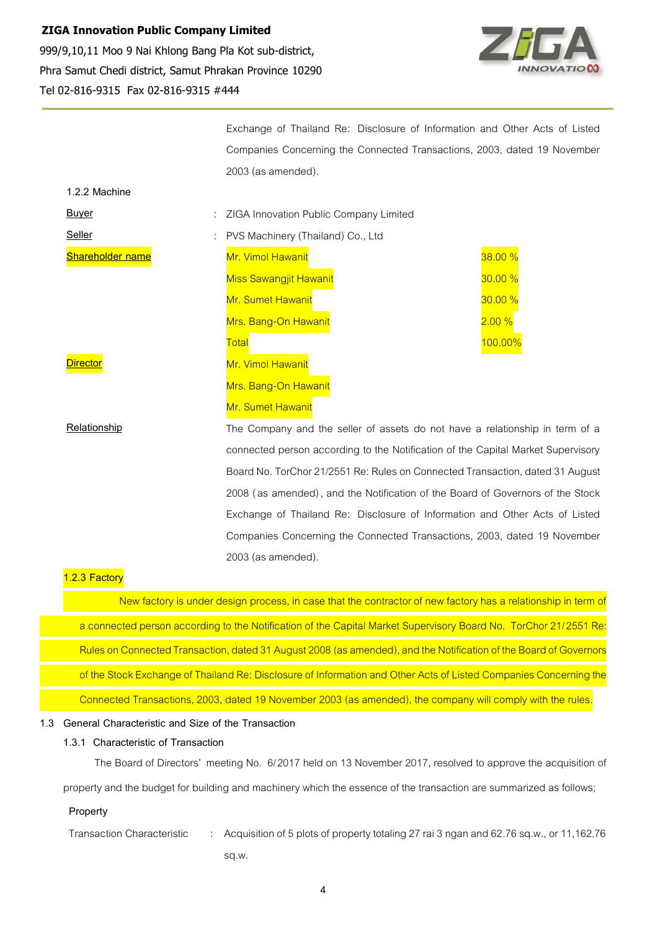

Exchange of Thailand Re: Disclosure of Information and Other Acts of Listed Companies Concerning the Connected Transactions, 2003, dated 19 November 2003 (as amended).

| 1.2.2 Machine           |                                                                 |                |
|-------------------------|-----------------------------------------------------------------|----------------|
| <b>Buyer</b>            | : ZIGA Innovation Public Company Limited                        |                |
| Seller                  | PVS Machinery (Thailand) Co., Ltd<br>÷                          |                |
| <b>Shareholder name</b> | Mr. Vimol Hawanit                                               | 38.00%         |
|                         | <b>Miss Sawangjit Hawanit</b>                                   | 30.00%         |
|                         | Mr. Sumet Hawanit                                               | 30.00%         |
|                         | Mrs. Bang-On Hawanit                                            | 2.00%          |
|                         | Total                                                           | <b>100.00%</b> |
| <b>Director</b>         | Mr. Vimol Hawanit                                               |                |
|                         | Mrs. Bang-On Hawanit                                            |                |
|                         | Mr. Sumet Hawanit                                               |                |
| Relationshin            | The Company and the seller of assets do not have a relationship |                |

The Company and the seller of assets do not have a relationship in term of a connected person according to the Notification of the Capital Market Supervisory Board No. TorChor 21/2551 Re: Rules on Connected Transaction, dated 31 August 2008 (as amended), and the Notification of the Board of Governors of the Stock Exchange of Thailand Re: Disclosure of Information and Other Acts of Listed Companies Concerning the Connected Transactions, 2003, dated 19 November 2003 (as amended).

## **1.2.3 Factory**

New factory is under design process, in case that the contractor of new factory has a relationship in term of a connected person according to the Notification of the Capital Market Supervisory Board No. TorChor 21/2551 Re: Rules on Connected Transaction, dated 31 August 2008 (as amended), and the Notification of the Board of Governors of the Stock Exchange of Thailand Re: Disclosure of Information and Other Acts of Listed Companies Concerning the Connected Transactions, 2003, dated 19 November 2003 (as amended), the company will comply with the rules.

#### **1.3 General Characteristic and Size of the Transaction**

## **1.3.1 Characteristic of Transaction**

The Board of Directors' meeting No. 6/2017 held on 13 November 2017, resolved to approve the acquisition of

property and the budget for building and machinery which the essence of the transaction are summarized as follows;

#### **Property**

Transaction Characteristic : Acquisition of 5 plots of property totaling 27 rai 3 ngan and 62.76 sq.w., or 11,162.76 sq.w.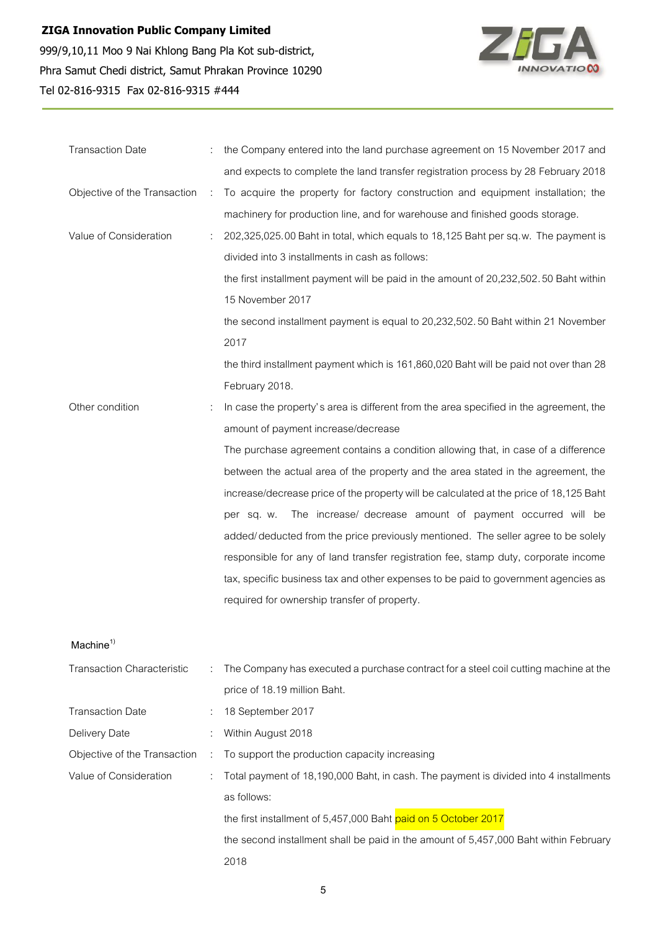

| <b>Transaction Date</b>      |               | the Company entered into the land purchase agreement on 15 November 2017 and           |  |  |
|------------------------------|---------------|----------------------------------------------------------------------------------------|--|--|
|                              |               | and expects to complete the land transfer registration process by 28 February 2018     |  |  |
| Objective of the Transaction | $\mathcal{L}$ | To acquire the property for factory construction and equipment installation; the       |  |  |
|                              |               | machinery for production line, and for warehouse and finished goods storage.           |  |  |
| Value of Consideration       |               | 202,325,025.00 Baht in total, which equals to 18,125 Baht per sq.w. The payment is     |  |  |
|                              |               | divided into 3 installments in cash as follows:                                        |  |  |
|                              |               | the first installment payment will be paid in the amount of 20,232,502.50 Baht within  |  |  |
|                              |               | 15 November 2017                                                                       |  |  |
|                              |               | the second installment payment is equal to 20,232,502.50 Baht within 21 November       |  |  |
|                              |               | 2017                                                                                   |  |  |
|                              |               | the third installment payment which is 161,860,020 Baht will be paid not over than 28  |  |  |
|                              |               | February 2018.                                                                         |  |  |
| Other condition              |               | In case the property's area is different from the area specified in the agreement, the |  |  |
|                              |               | amount of payment increase/decrease                                                    |  |  |
|                              |               | The purchase agreement contains a condition allowing that, in case of a difference     |  |  |
|                              |               | between the actual area of the property and the area stated in the agreement, the      |  |  |
|                              |               | increase/decrease price of the property will be calculated at the price of 18,125 Baht |  |  |
|                              |               | The increase/ decrease amount of payment occurred will be<br>per sq. w.                |  |  |
|                              |               | added/deducted from the price previously mentioned. The seller agree to be solely      |  |  |
|                              |               | responsible for any of land transfer registration fee, stamp duty, corporate income    |  |  |
|                              |               | tax, specific business tax and other expenses to be paid to government agencies as     |  |  |
|                              |               | required for ownership transfer of property.                                           |  |  |

## **Machine<sup>1</sup>)**

| <b>Transaction Characteristic</b> |                | : The Company has executed a purchase contract for a steel coil cutting machine at the |  |
|-----------------------------------|----------------|----------------------------------------------------------------------------------------|--|
|                                   |                | price of 18.19 million Baht.                                                           |  |
| <b>Transaction Date</b>           |                | 18 September 2017                                                                      |  |
| Delivery Date                     |                | : Within August 2018                                                                   |  |
| Objective of the Transaction      | $\sim$ 10 $\,$ | To support the production capacity increasing                                          |  |
| Value of Consideration            | ÷              | Total payment of 18,190,000 Baht, in cash. The payment is divided into 4 installments  |  |
|                                   |                | as follows:                                                                            |  |
|                                   |                | the first installment of 5,457,000 Baht paid on 5 October 2017                         |  |
|                                   |                | the second installment shall be paid in the amount of 5,457,000 Baht within February   |  |
|                                   |                | 2018                                                                                   |  |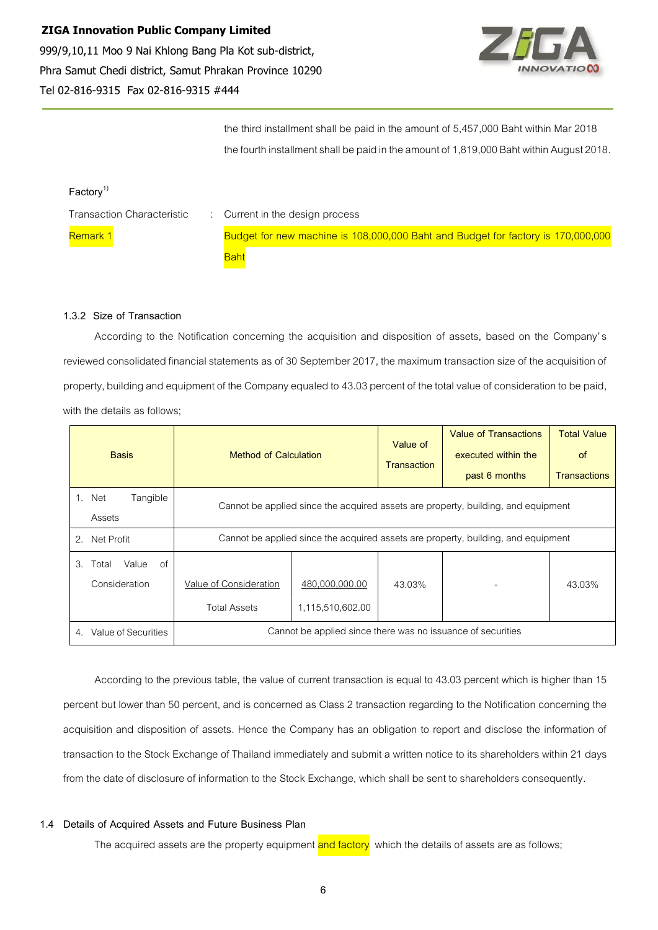

the third installment shall be paid in the amount of 5,457,000 Baht within Mar 2018 the fourth installment shall be paid in the amount of 1,819,000 Baht within August 2018.

# **Factory<sup>1</sup>)**

| <b>Transaction Characteristic</b> | : Current in the design process                                                  |
|-----------------------------------|----------------------------------------------------------------------------------|
| Remark 1                          | Budget for new machine is 108,000,000 Baht and Budget for factory is 170,000,000 |
|                                   | Baht                                                                             |

## **1.3.2 Size of Transaction**

According to the Notification concerning the acquisition and disposition of assets, based on the Company's reviewed consolidated financial statements as of 30 September 2017, the maximum transaction size of the acquisition of property, building and equipment of the Company equaled to 43.03 percent of the total value of consideration to be paid, with the details as follows;

| <b>Basis</b>                                | Method of Calculation                                                             |                                    | Value of<br><b>Transaction</b> | <b>Value of Transactions</b><br>executed within the<br>past 6 months | <b>Total Value</b><br>of<br><b>Transactions</b> |
|---------------------------------------------|-----------------------------------------------------------------------------------|------------------------------------|--------------------------------|----------------------------------------------------------------------|-------------------------------------------------|
| Tangible<br>1.<br>Net<br>Assets             | Cannot be applied since the acquired assets are property, building, and equipment |                                    |                                |                                                                      |                                                 |
| Net Profit<br>2.                            | Cannot be applied since the acquired assets are property, building, and equipment |                                    |                                |                                                                      |                                                 |
| of<br>Value<br>3.<br>Total<br>Consideration | Value of Consideration<br><b>Total Assets</b>                                     | 480,000,000.00<br>1,115,510,602.00 | 43.03%                         |                                                                      | 43.03%                                          |
| Value of Securities<br>4.                   | Cannot be applied since there was no issuance of securities                       |                                    |                                |                                                                      |                                                 |

According to the previous table, the value of current transaction is equal to 43.03 percent which is higher than 15 percent but lower than 50 percent, and is concerned as Class 2 transaction regarding to the Notification concerning the acquisition and disposition of assets. Hence the Company has an obligation to report and disclose the information of transaction to the Stock Exchange of Thailand immediately and submit a written notice to its shareholders within 21 days from the date of disclosure of information to the Stock Exchange, which shall be sent to shareholders consequently.

## **1.4 Details of Acquired Assets and Future Business Plan**

The acquired assets are the property equipment and factory which the details of assets are as follows;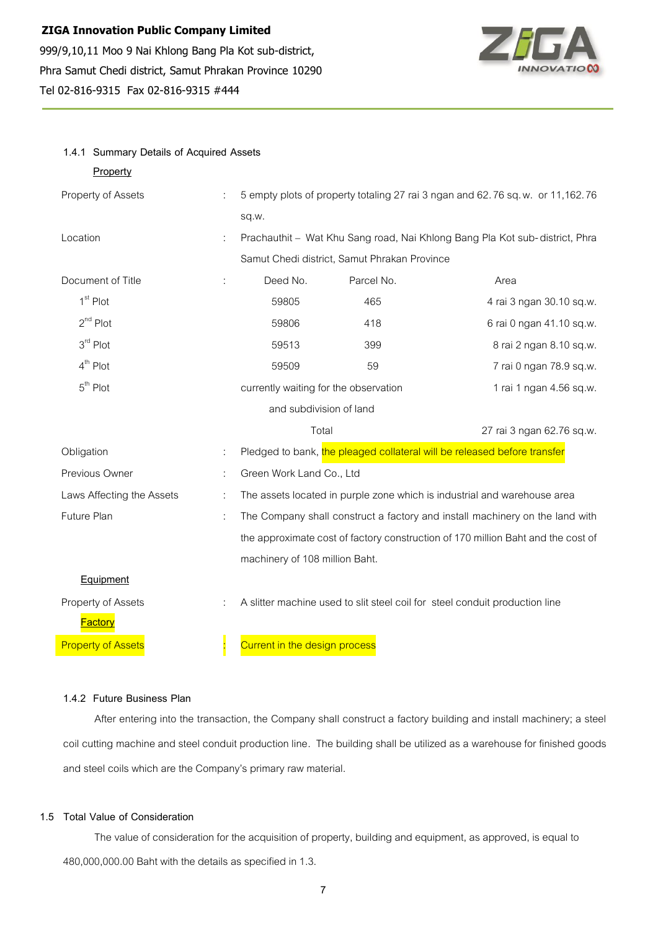**1.4.1 Summary Details of Acquired Assets**



| Property                  |   |                                                                                  |            |                                                                          |
|---------------------------|---|----------------------------------------------------------------------------------|------------|--------------------------------------------------------------------------|
| Property of Assets        |   | 5 empty plots of property totaling 27 rai 3 ngan and 62.76 sq.w. or 11,162.76    |            |                                                                          |
|                           |   | sq.w.                                                                            |            |                                                                          |
| Location                  |   | Prachauthit - Wat Khu Sang road, Nai Khlong Bang Pla Kot sub-district, Phra      |            |                                                                          |
|                           |   | Samut Chedi district, Samut Phrakan Province                                     |            |                                                                          |
| Document of Title         |   | Deed No.                                                                         | Parcel No. | Area                                                                     |
| 1 <sup>st</sup> Plot      |   | 59805                                                                            | 465        | 4 rai 3 ngan 30.10 sq.w.                                                 |
| $2^{nd}$ Plot             |   | 59806                                                                            | 418        | 6 rai 0 ngan 41.10 sq.w.                                                 |
| $3rd$ Plot                |   | 59513                                                                            | 399        | 8 rai 2 ngan 8.10 sq.w.                                                  |
| $4th$ Plot                |   | 59509                                                                            | 59         | 7 rai 0 ngan 78.9 sq.w.                                                  |
| $5th$ Plot                |   | currently waiting for the observation<br>1 rai 1 ngan 4.56 sq.w.                 |            |                                                                          |
|                           |   | and subdivision of land                                                          |            |                                                                          |
|                           |   | Total                                                                            |            | 27 rai 3 ngan 62.76 sq.w.                                                |
| Obligation                |   |                                                                                  |            | Pledged to bank, the pleaged collateral will be released before transfer |
| Previous Owner            |   | Green Work Land Co., Ltd                                                         |            |                                                                          |
| Laws Affecting the Assets | ÷ | The assets located in purple zone which is industrial and warehouse area         |            |                                                                          |
| Future Plan               | ÷ | The Company shall construct a factory and install machinery on the land with     |            |                                                                          |
|                           |   | the approximate cost of factory construction of 170 million Baht and the cost of |            |                                                                          |
|                           |   | machinery of 108 million Baht.                                                   |            |                                                                          |
| Equipment                 |   |                                                                                  |            |                                                                          |
| Property of Assets        |   | A slitter machine used to slit steel coil for steel conduit production line      |            |                                                                          |
| Factory                   |   |                                                                                  |            |                                                                          |
| <b>Property of Assets</b> |   | Current in the design process                                                    |            |                                                                          |

## **1.4.2 Future Business Plan**

After entering into the transaction, the Company shall construct a factory building and install machinery; a steel coil cutting machine and steel conduit production line. The building shall be utilized as a warehouse for finished goods and steel coils which are the Company's primary raw material.

## **1.5 Total Value of Consideration**

The value of consideration for the acquisition of property, building and equipment, as approved, is equal to 480,000,000.00 Baht with the details as specified in 1.3.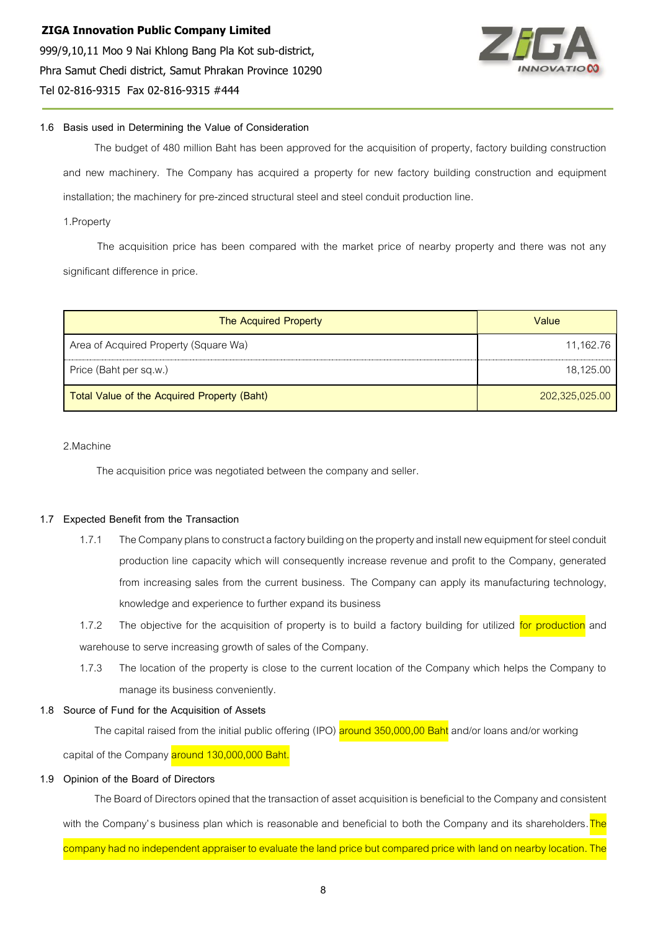

## **1.6 Basis used in Determining the Value of Consideration**

The budget of 480 million Baht has been approved for the acquisition of property, factory building construction and new machinery. The Company has acquired a property for new factory building construction and equipment installation; the machinery for pre-zinced structural steel and steel conduit production line.

1.Property

The acquisition price has been compared with the market price of nearby property and there was not any significant difference in price.

| <b>The Acquired Property</b>                | Value          |
|---------------------------------------------|----------------|
| Area of Acquired Property (Square Wa)       | 11,162.76      |
| Price (Baht per sq.w.)                      | 18,125.00      |
| Total Value of the Acquired Property (Baht) | 202,325,025.00 |

#### 2.Machine

The acquisition price was negotiated between the company and seller.

#### **1.7 Expected Benefit from the Transaction**

- 1.7.1 The Company plans to construct a factory building on the property and install new equipment for steel conduit production line capacity which will consequently increase revenue and profit to the Company, generated from increasing sales from the current business. The Company can apply its manufacturing technology, knowledge and experience to further expand its business
- 1.7.2 The objective for the acquisition of property is to build a factory building for utilized for production and warehouse to serve increasing growth of sales of the Company.
- 1.7.3 The location of the property is close to the current location of the Company which helps the Company to manage its business conveniently.

#### **1.8 Source of Fund for the Acquisition of Assets**

The capital raised from the initial public offering (IPO) around 350,000,00 Baht and/or loans and/or working

capital of the Company around 130,000,000 Baht.

## **1.9 Opinion of the Board of Directors**

The Board of Directors opined that the transaction of asset acquisition is beneficial to the Company and consistent with the Company's business plan which is reasonable and beneficial to both the Company and its shareholders. The company had no independent appraiser to evaluate the land price but compared price with land on nearby location. The